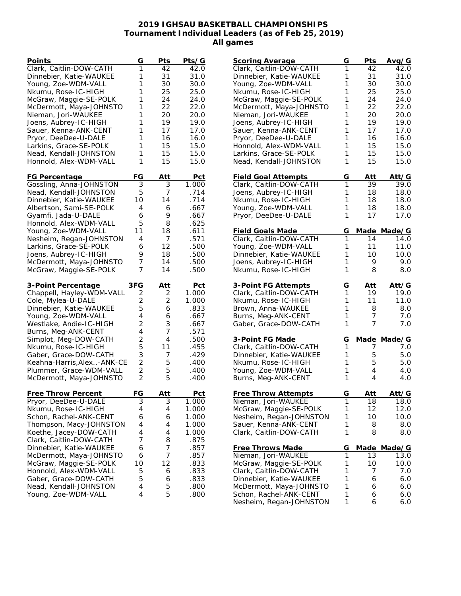## **2019 IGHSAU BASKETBALL CHAMPIONSHIPS Tournament Individual Leaders (as of Feb 25, 2019) All games**

| Points                                             | G                                | Pts    | <u>Pts/G</u> |
|----------------------------------------------------|----------------------------------|--------|--------------|
| Clark, Caitlin-DOW-CATH                            | 1                                | 42     | 42.0         |
| Dinnebier, Katie-WAUKEE                            | 1                                | 31     | 31.0         |
| Young, Zoe-WDM-VALL                                | 1                                | 30     | 30.0         |
| Nkumu, Rose-IC-HIGH                                | 1                                | 25     | 25.0         |
| McGraw, Maggie-SE-POLK                             | 1                                | 24     | 24.0         |
| McDermott, Maya-JOHNSTO                            | 1                                | 22     | 22.0         |
| Nieman, Jori-WAUKEE                                | 1                                | 20     | 20.0         |
| Joens, Aubrey-IC-HIGH                              | 1                                | 19     | 19.0         |
| Sauer, Kenna-ANK-CENT                              | 1                                | 17     | 17.0         |
| Pryor, DeeDee-U-DALE                               | 1                                | 16     | 16.0         |
| Larkins, Grace-SE-POLK                             | 1                                | 15     | 15.0         |
| Nead, Kendall-JOHNSTON                             | 1                                | 15     | 15.0         |
| Honnold, Alex-WDM-VALL                             | 1                                | 15     | 15.0         |
|                                                    |                                  |        |              |
| <u>FG Percentage</u>                               | FG                               | Att    | Pct          |
| Gossling, Anna-JOHNSTON                            | 3                                | 3      | 1.000        |
| Nead, Kendall-JOHNSTON                             | 5                                | 7      | .714         |
| Dinnebier, Katie-WAUKEE                            | 10                               | 14     | .714         |
| Albertson, Sami-SE-POLK                            | 4                                | 6      | .667         |
| Gyamfi, Jada-U-DALE                                | 6                                | 9      | .667         |
| Honnold, Alex-WDM-VALL                             | 5                                | 8      | .625         |
| Young, Zoe-WDM-VALL                                | 11                               | 18     | .611         |
| Nesheim, Regan-JOHNSTON                            | 4                                | 7      | .571         |
| Larkins, Grace-SE-POLK                             | 6                                | 12     | .500         |
| Joens, Aubrey-IC-HIGH                              | 9                                | 18     | .500         |
| McDermott, Maya-JOHNSTO                            | 7                                | 14     | .500         |
| McGraw, Maggie-SE-POLK                             | 7                                | 14     | .500         |
|                                                    |                                  |        |              |
|                                                    |                                  |        |              |
| 3-Point Percentage                                 | 3FG                              | Att    | Pct          |
| Chappell, Hayley-WDM-VALL                          | $\overline{2}$                   | 2      | 1.000        |
| Cole, Mylea-U-DALE                                 | 2                                | 2      | 1.000        |
| Dinnebier, Katie-WAUKEE                            | 5                                | 6      | .833         |
| Young, Zoe-WDM-VALL                                | 4                                | 6      | .667         |
| Westlake, Andie-IC-HIGH                            | $\overline{c}$                   | 3      | .667         |
|                                                    | 4                                | 7      | .571         |
| Burns, Meg-ANK-CENT                                | $\overline{2}$                   | 4      | .500         |
| Simplot, Meg-DOW-CATH                              | 5                                | 11     | .455         |
| Nkumu, Rose-IC-HIGH                                |                                  | 7      |              |
| Gaber, Grace-DOW-CATH                              | 3                                |        | .429<br>.400 |
| Keahna-Harris, Alex-ANK-CE                         | $\overline{2}$                   | 5<br>5 | .400         |
| Plummer, Grace-WDM-VALL<br>McDermott, Maya-JOHNSTO | $\overline{2}$<br>$\overline{2}$ | 5      | .400         |
|                                                    |                                  |        |              |
| Free Throw Percent                                 | FG                               | Att    | Pct          |
| Pryor, DeeDee-U-DALE                               | $\overline{3}$                   | 3      | 1.000        |
| Nkumu, Rose-IC-HIGH                                | 4                                | 4      | 1.000        |
| Schon, Rachel-ANK-CENT                             | 6                                | 6      | 1.000        |
| Thompson, Macy-JOHNSTON                            | 4                                | 4      | 1.000        |
| Koethe, Jacey-DOW-CATH                             | 4                                | 4      | 1.000        |
| Clark, Caitlin-DOW-CATH                            | 7                                | 8      | .875         |
| Dinnebier, Katie-WAUKEE                            | 6                                | 7      | .857         |
| McDermott, Maya-JOHNSTO                            | 6                                | 7      | .857         |
| McGraw, Maggie-SE-POLK                             | 10                               | 12     | .833         |
| Honnold, Alex-WDM-VALL                             | 5                                | 6      | .833         |
| Gaber, Grace-DOW-CATH                              | 5                                | 6      | .833         |
| Nead, Kendall-JOHNSTON                             | 4                                | 5      | .800         |

| <b>Scoring Average</b>     | G | Pts          | Avg/G  |
|----------------------------|---|--------------|--------|
| Clark, Caitlin-DOW-CATH    | 1 | 42           | 42.0   |
| Dinnebier, Katie-WAUKEE    | 1 | 31           | 31.0   |
| Young, Zoe-WDM-VALL        | 1 | 30           | 30.0   |
| Nkumu, Rose-IC-HIGH        | 1 | 25           | 25.0   |
| McGraw, Maggie-SE-POLK     | 1 | 24           | 24.0   |
| McDermott, Maya-JOHNSTO    | 1 | 22           | 22.0   |
|                            |   |              |        |
| Nieman, Jori-WAUKEE        | 1 | 20           | 20.0   |
| Joens, Aubrey-IC-HIGH      | 1 | 19           | 19.0   |
| Sauer, Kenna-ANK-CENT      | 1 | 17           | 17.0   |
| Pryor, DeeDee-U-DALE       | 1 | 16           | 16.0   |
| Honnold, Alex-WDM-VALL     | 1 | 15           | 15.0   |
| Larkins, Grace-SE-POLK     | 1 | 15           | 15.0   |
| Nead, Kendall-JOHNSTON     | 1 | 15           | 15.0   |
| <b>Field Goal Attempts</b> | G | Att          | Att/G  |
| Clark, Caitlin-DOW-CATH    | 1 | 39           | 39.0   |
| Joens, Aubrey-IC-HIGH      | 1 | 18           | 18.0   |
| Nkumu, Rose-IC-HIGH        | 1 | 18           | 18.0   |
| Young, Zoe-WDM-VALL        | 1 | 18           | 18.0   |
| Pryor, DeeDee-U-DALE       | 1 | 17           | 17.0   |
|                            |   |              |        |
| <b>Field Goals Made</b>    | G | Made         | Made/G |
| Clark, Caitlin-DOW-CATH    | 1 | 14           | 14.0   |
| Young, Zoe-WDM-VALL        | 1 | 11           | 11.0   |
| Dinnebier, Katie-WAUKEE    | 1 | 10           | 10.0   |
| Joens, Aubrey-IC-HIGH      | 1 | 9            | 9.0    |
| Nkumu, Rose-IC-HIGH        | 1 | 8            | 8.0    |
| 3-Point FG Attempts        | G | Att          | Att/G  |
| Clark, Caitlin-DOW-CATH    | 1 | 19           | 19.0   |
| Nkumu, Rose-IC-HIGH        | 1 | 11           | 11.0   |
| Brown, Anna-WAUKEE         | 1 | 8            | 8.0    |
| Burns, Meg-ANK-CENT        | 1 | 7            | 7.0    |
| Gaber, Grace-DOW-CATH      | 1 | 7            | 7.0    |
| 3-Point FG Made            | G | <u>Ma</u> de | Made/G |
| Clark, Caitlin-DOW-CATH    | 1 | 7            | 7.0    |
| Dinnebier, Katie-WAUKEE    | 1 | 5            | 5.0    |
|                            | 1 |              |        |
| Nkumu, Rose-IC-HIGH        |   | 5            | 5.0    |
| Young, Zoe-WDM-VALL        | 1 | 4            | 4.0    |
| Burns, Meg-ANK-CENT        | 1 | 4            | 4.0    |
| Free Throw Attempts        | G | <u>Att</u>   | Att/G  |
| Nieman, Jori-WAUKEE        | 1 | 18           | 18.0   |
| McGraw, Maggie-SE-POLK     | 1 | 12           | 12.0   |
| Nesheim, Regan-JOHNSTON    | 1 | 10           | 10.0   |
| Sauer, Kenna-ANK-CENT      | 1 | 8            | 8.0    |
| Clark, Caitlin-DOW-CATH    | 1 | 8            | 8.0    |
| Free Throws Made           | G | Made         | Made/G |
| Nieman, Jori-WAUKEE        | 1 | 13           | 13.0   |
| McGraw, Maggie-SE-POLK     | 1 | 10           | 10.0   |
| Clark, Caitlin-DOW-CATH    | 1 | 7            | 7.0    |
| Dinnebier, Katie-WAUKEE    | 1 | 6            | 6.0    |
| McDermott, Maya-JOHNSTO    | 1 |              |        |
|                            | 1 | 6            | 6.0    |
| Schon, Rachel-ANK-CENT     |   | 6            | 6.0    |
| Nesheim, Regan-JOHNSTON    | 1 | 6            | 6.0    |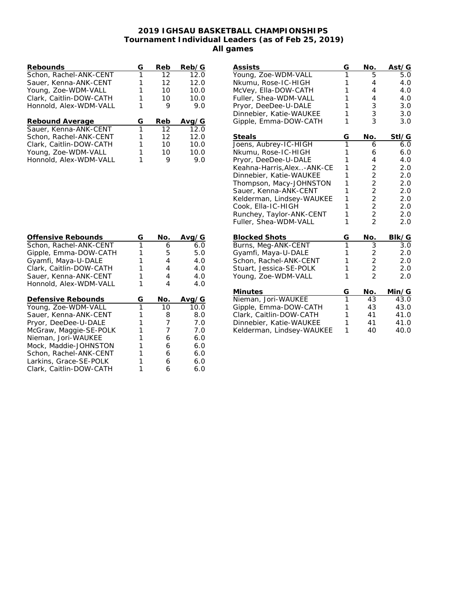## **2019 IGHSAU BASKETBALL CHAMPIONSHIPS Tournament Individual Leaders (as of Feb 25, 2019) All games**

| Rebounds                | G | Reb | Reb/G |
|-------------------------|---|-----|-------|
| Schon, Rachel-ANK-CENT  | 1 | 12  | 12.0  |
| Sauer, Kenna-ANK-CENT   |   | 12  | 12.0  |
| Young, Zoe-WDM-VALL     |   | 10  | 10.0  |
| Clark, Caitlin-DOW-CATH |   | 10  | 10.0  |
| Honnold, Alex-WDM-VALL  |   | 9   | 9.0   |
| Rebound Average         | G | Reb | Avg/G |
| Sauer, Kenna-ANK-CENT   | 1 | 12  | 12.0  |
| Schon, Rachel-ANK-CENT  |   | 12  | 12.0  |
| Clark, Caitlin-DOW-CATH |   | 10  | 10.0  |
| Young, Zoe-WDM-VALL     |   | 10  | 10.0  |
| Honnold, Alex-WDM-VALL  |   | 9   | 9.N   |

| <b>Assists</b>                                | G              | No.                                          | Ast/G      |
|-----------------------------------------------|----------------|----------------------------------------------|------------|
| Young, Zoe-WDM-VALL                           | 1              | 5                                            | 5.0        |
| Nkumu, Rose-IC-HIGH                           | 1<br>1         | 4<br>4                                       | 4.0        |
| McVey, Ella-DOW-CATH<br>Fuller, Shea-WDM-VALL | 1              | 4                                            | 4.0<br>4.0 |
| Pryor, DeeDee-U-DALE                          | 1              | 3                                            | 3.0        |
| Dinnebier, Katie-WAUKEE                       | 1              | 3                                            | 3.0        |
| Gipple, Emma-DOW-CATH                         | 1              | $\overline{3}$                               | 3.0        |
|                                               |                |                                              |            |
| Steals                                        | G              | No.                                          | Stl/G      |
| Joens, Aubrey-IC-HIGH                         | 1              | 6                                            | 6.0        |
| Nkumu, Rose-IC-HIGH                           | 1              | 6                                            | 6.0        |
| Pryor, DeeDee-U-DALE                          | 1              | 4                                            | 4.0        |
| Keahna-Harris, Alex. .- ANK-CE                | 1              |                                              | 2.0        |
| Dinnebier, Katie-WAUKEE                       | 1              |                                              | 2.0        |
| Thompson, Macy-JOHNSTON                       | 1              |                                              | 2.0        |
| Sauer, Kenna-ANK-CENT                         | 1              |                                              | 2.0        |
| Kelderman, Lindsey-WAUKEE                     | 1              | 2 2 2 2 2 2 2 2                              | 2.0        |
| Cook, Ella-IC-HIGH                            | 1              |                                              | 2.0        |
| Runchey, Taylor-ANK-CENT                      | 1              |                                              | 2.0        |
| Fuller, Shea-WDM-VALL                         | 1              |                                              | 2.0        |
| <b>Blocked Shots</b>                          | G              | <u>No.</u>                                   | BIk/G      |
| Burns, Meg-ANK-CENT                           | $\overline{1}$ | $\overline{3}$                               | 3.0        |
| Gyamfi, Maya-U-DALE                           | 1              | $\begin{array}{c}\n2 \\ 2 \\ 2\n\end{array}$ | 2.0        |
| Schon, Rachel-ANK-CENT                        | $\mathbf{1}$   |                                              | 2.0        |
| Stuart, Jessica-SE-POLK                       | 1              |                                              | 2.0        |
| Young, Zoe-WDM-VALL                           | 1              |                                              | 2.0        |
| Minutes                                       | G              | No.                                          | Min/G      |
| Nieman, Jori-WAUKEE                           | $\overline{1}$ | 43                                           | 43.0       |
| Gipple, Emma-DOW-CATH                         | 1              | 43                                           | 43.0       |
| Clark, Caitlin-DOW-CATH                       | 1              | 41                                           | 41.0       |
| Dinnebier, Katie-WAUKEE                       | 1              | 41                                           | 41.0       |
| Kelderman, Lindsey-WAUKEE                     | 1              | 40                                           | 40.0       |

| Offensive Rebounds      | G | No. | Ava⁄  |
|-------------------------|---|-----|-------|
| Schon, Rachel-ANK-CENT  |   | 6   | 6.0   |
| Gipple, Emma-DOW-CATH   |   | 5   | 5.0   |
| Gyamfi, Maya-U-DALE     |   | 4   | 4.0   |
| Clark, Caitlin-DOW-CATH |   | 4   | 4.0   |
| Sauer, Kenna-ANK-CENT   |   | 4   | 4.0   |
| Honnold, Alex-WDM-VALL  |   | 4   | 4.0   |
| Defensive Rebounds      | G | No. | Avg/G |
| Young, Zoe-WDM-VALL     | 1 | 10  | 10.0  |
| Sauer, Kenna-ANK-CENT   |   | 8   | 8.0   |
| Pryor, DeeDee-U-DALE    |   | 7   | 7.0   |
| McGraw, Maggie-SE-POLK  |   | 7   | 7.0   |
| Nieman, Jori-WAUKEE     |   | 6   | 6.0   |
| Mock, Maddie-JOHNSTON   |   | 6   | 6.0   |
| Schon, Rachel-ANK-CENT  |   | 6   | 6.0   |
| Larkins, Grace-SE-POLK  |   | 6   | 6.0   |
| Clark, Caitlin-DOW-CATH |   | 6   | 6.0   |